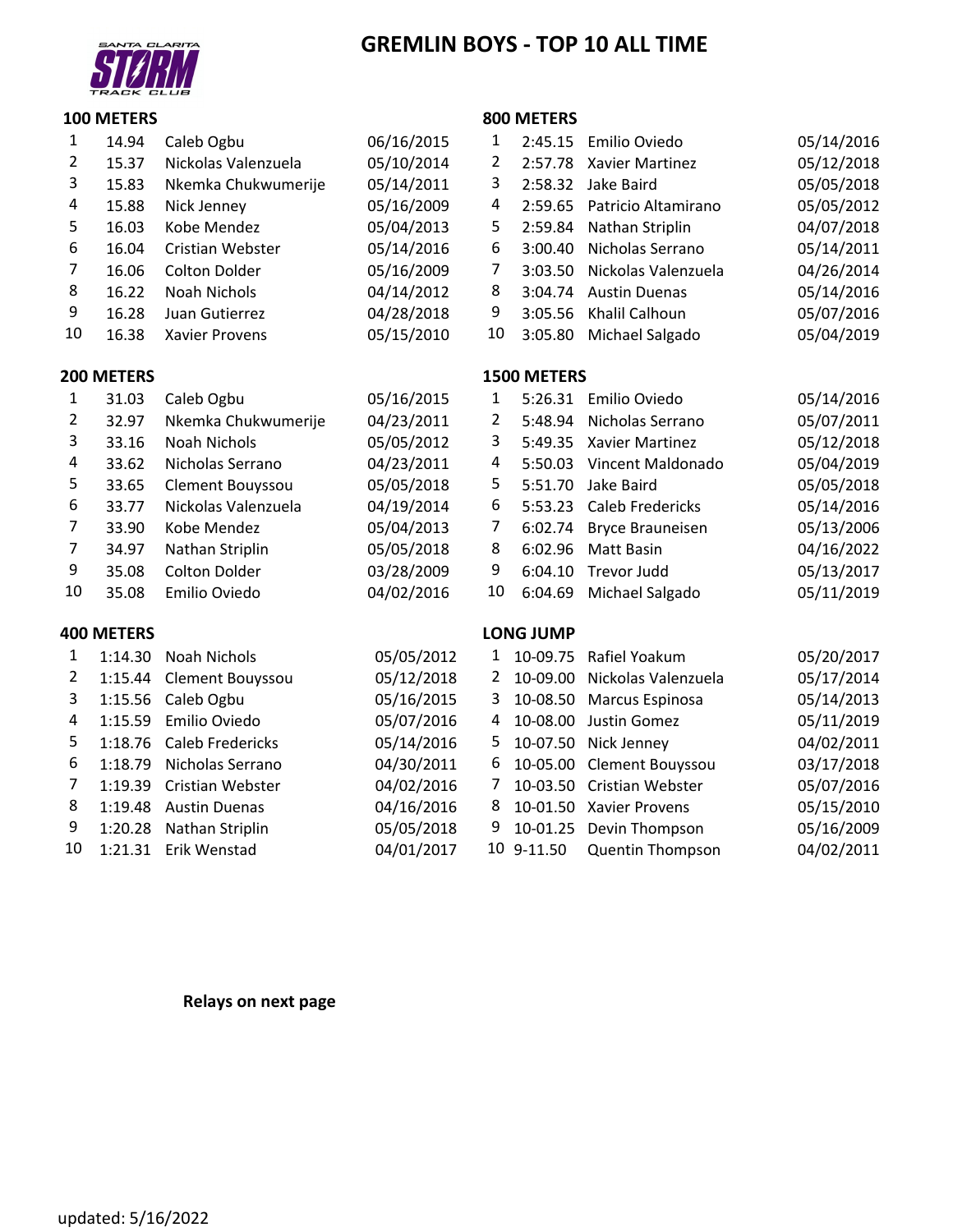# **GREMLIN BOYS ‐ TOP 10 ALL TIME**



#### **METERS**

#### **METERS**

| 1  | 14.94      | Caleb Ogbu          | 06/16/2015 | 1  | 2:45.15            | Emilio Oviedo        | 05/14/2016 |  |
|----|------------|---------------------|------------|----|--------------------|----------------------|------------|--|
| 2  | 15.37      | Nickolas Valenzuela | 05/10/2014 | 2  | 2:57.78            | Xavier Martinez      | 05/12/2018 |  |
| 3  | 15.83      | Nkemka Chukwumerije | 05/14/2011 | 3  | 2:58.32            | Jake Baird           | 05/05/2018 |  |
| 4  | 15.88      | Nick Jenney         | 05/16/2009 | 4  | 2:59.65            | Patricio Altamirano  | 05/05/2012 |  |
| 5. | 16.03      | Kobe Mendez         | 05/04/2013 | 5  | 2:59.84            | Nathan Striplin      | 04/07/2018 |  |
| 6  | 16.04      | Cristian Webster    | 05/14/2016 | 6  | 3:00.40            | Nicholas Serrano     | 05/14/2011 |  |
|    | 16.06      | Colton Dolder       | 05/16/2009 | 7  | 3:03.50            | Nickolas Valenzuela  | 04/26/2014 |  |
| 8  | 16.22      | Noah Nichols        | 04/14/2012 | 8  | 3:04.74            | <b>Austin Duenas</b> | 05/14/2016 |  |
| 9  | 16.28      | Juan Gutierrez      | 04/28/2018 | 9  | 3:05.56            | Khalil Calhoun       | 05/07/2016 |  |
| 10 | 16.38      | Xavier Provens      | 05/15/2010 | 10 | 3:05.80            | Michael Salgado      | 05/04/2019 |  |
|    | 200 METERS |                     |            |    | <b>1500 METERS</b> |                      |            |  |
|    | 31.03      | Caleb Ogbu          | 05/16/2015 | 1  | 5:26.31            | Emilio Oviedo        | 05/14/2016 |  |

|    | 31.U3 | Caleb Ogbu          | U5/16/2015 |    |         | 5:26.31 Emilio Oviedo    | 05/14/2016 |
|----|-------|---------------------|------------|----|---------|--------------------------|------------|
| 2  | 32.97 | Nkemka Chukwumerije | 04/23/2011 | 2  | 5:48.94 | Nicholas Serrano         | 05/07/2011 |
| 3  | 33.16 | Noah Nichols        | 05/05/2012 | 3  |         | 5:49.35 Xavier Martinez  | 05/12/2018 |
| 4  | 33.62 | Nicholas Serrano    | 04/23/2011 | 4  | 5:50.03 | Vincent Maldonado        | 05/04/2019 |
| 5. | 33.65 | Clement Bouyssou    | 05/05/2018 | 5  | 5:51.70 | Jake Baird               | 05/05/2018 |
| 6  | 33.77 | Nickolas Valenzuela | 04/19/2014 | 6  |         | 5:53.23 Caleb Fredericks | 05/14/2016 |
|    | 33.90 | Kobe Mendez         | 05/04/2013 |    |         | 6:02.74 Bryce Brauneisen | 05/13/2006 |
|    | 34.97 | Nathan Striplin     | 05/05/2018 | 8  | 6:02.96 | Matt Basin               | 04/16/2022 |
| 9  | 35.08 | Colton Dolder       | 03/28/2009 | 9  | 6:04.10 | Trevor Judd              | 05/13/2017 |
| 10 | 35.08 | Emilio Oviedo       | 04/02/2016 | 10 | 6:04.69 | Michael Salgado          | 05/11/2019 |
|    |       |                     |            |    |         |                          |            |

#### **METERS LONG JUMP**

|    |         | 1:14.30 Noah Nichols     | 05/05/2012 |   |            | 1 10-09.75 Rafiel Yoakum   | 05/20/2017 |
|----|---------|--------------------------|------------|---|------------|----------------------------|------------|
| 2  |         | 1:15.44 Clement Bouyssou | 05/12/2018 | 2 | 10-09.00   | Nickolas Valenzuela        | 05/17/2014 |
| 3  |         | 1:15.56 Caleb Ogbu       | 05/16/2015 |   |            | 3 10-08.50 Marcus Espinosa | 05/14/2013 |
| 4  |         | 1:15.59 Emilio Oviedo    | 05/07/2016 | 4 |            | 10-08.00 Justin Gomez      | 05/11/2019 |
| 5. |         | 1:18.76 Caleb Fredericks | 05/14/2016 |   |            | 5 10-07.50 Nick Jenney     | 04/02/2011 |
| 6  | 1:18.79 | Nicholas Serrano         | 04/30/2011 | 6 |            | 10-05.00 Clement Bouyssou  | 03/17/2018 |
|    |         | 1:19.39 Cristian Webster | 04/02/2016 | 7 |            | 10-03.50 Cristian Webster  | 05/07/2016 |
| 8  |         | 1:19.48 Austin Duenas    | 04/16/2016 | 8 |            | 10-01.50 Xavier Provens    | 05/15/2010 |
| 9  | 1:20.28 | Nathan Striplin          | 05/05/2018 | 9 |            | 10-01.25 Devin Thompson    | 05/16/2009 |
| 10 |         | 1:21.31 Erik Wenstad     | 04/01/2017 |   | 10 9-11.50 | <b>Quentin Thompson</b>    | 04/02/2011 |

## **Relays on next page**